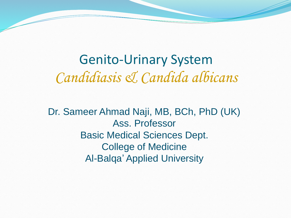Genito-Urinary System *Candidiasis & Candida albicans*

Dr. Sameer Ahmad Naji, MB, BCh, PhD (UK) Ass. Professor Basic Medical Sciences Dept. College of Medicine Al-Balqa' Applied University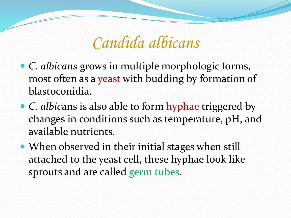# *Candida albicans*

- *C. albicans* grows in multiple morphologic forms, most often as a yeast with budding by formation of blastoconidia.
- *C. albic*ans is also able to form hyphae triggered by changes in conditions such as temperature, pH, and available nutrients.
- When observed in their initial stages when still attached to the yeast cell, these hyphae look like sprouts and are called germ tubes.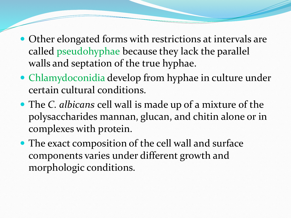- Other elongated forms with restrictions at intervals are called pseudohyphae because they lack the parallel walls and septation of the true hyphae.
- Chlamydoconidia develop from hyphae in culture under certain cultural conditions.
- The *C. albicans* cell wall is made up of a mixture of the polysaccharides mannan, glucan, and chitin alone or in complexes with protein.
- The exact composition of the cell wall and surface components varies under different growth and morphologic conditions.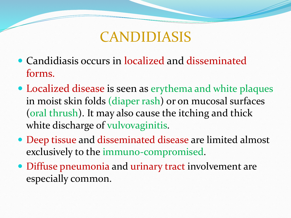## CANDIDIASIS

- Candidiasis occurs in localized and disseminated forms.
- Localized disease is seen as erythema and white plaques in moist skin folds (diaper rash) or on mucosal surfaces (oral thrush). It may also cause the itching and thick white discharge of vulvovaginitis.
- Deep tissue and disseminated disease are limited almost exclusively to the immuno-compromised.
- Diffuse pneumonia and urinary tract involvement are especially common.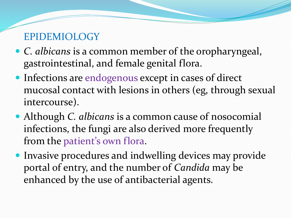## EPIDEMIOLOGY

- *C. albicans* is a common member of the oropharyngeal, gastrointestinal, and female genital flora.
- Infections are endogenous except in cases of direct mucosal contact with lesions in others (eg, through sexual intercourse).
- Although *C. albicans* is a common cause of nosocomial infections, the fungi are also derived more frequently from the patient's own flora.
- Invasive procedures and indwelling devices may provide portal of entry, and the number of *Candida* may be enhanced by the use of antibacterial agents.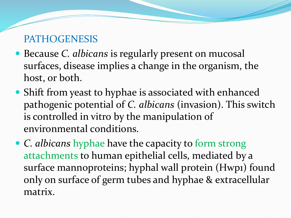### PATHOGENESIS

- Because *C. albicans* is regularly present on mucosal surfaces, disease implies a change in the organism, the host, or both.
- Shift from yeast to hyphae is associated with enhanced pathogenic potential of *C. albicans* (invasion). This switch is controlled in vitro by the manipulation of environmental conditions.
- *C. albicans* hyphae have the capacity to form strong attachments to human epithelial cells, mediated by a surface mannoproteins; hyphal wall protein (Hwp1) found only on surface of germ tubes and hyphae & extracellular matrix.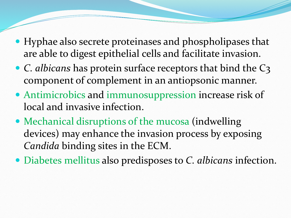- Hyphae also secrete proteinases and phospholipases that are able to digest epithelial cells and facilitate invasion.
- *C. albicans* has protein surface receptors that bind the C3 component of complement in an antiopsonic manner.
- Antimicrobics and immunosuppression increase risk of local and invasive infection.
- Mechanical disruptions of the mucosa (indwelling devices) may enhance the invasion process by exposing *Candida* binding sites in the ECM.
- Diabetes mellitus also predisposes to *C. albicans* infection.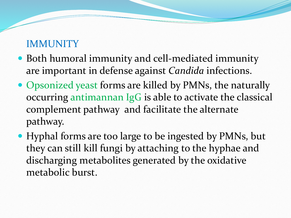#### **IMMUNITY**

- Both humoral immunity and cell-mediated immunity are important in defense against *Candida* infections.
- Opsonized yeast forms are killed by PMNs, the naturally occurring antimannan IgG is able to activate the classical complement pathway and facilitate the alternate pathway.
- Hyphal forms are too large to be ingested by PMNs, but they can still kill fungi by attaching to the hyphae and discharging metabolites generated by the oxidative metabolic burst.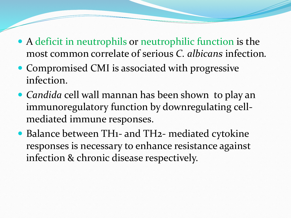- A deficit in neutrophils or neutrophilic function is the most common correlate of serious *C. albicans* infection*.*
- Compromised CMI is associated with progressive infection.
- *Candida* cell wall mannan has been shown to play an immunoregulatory function by downregulating cellmediated immune responses.
- Balance between TH1- and TH2- mediated cytokine responses is necessary to enhance resistance against infection & chronic disease respectively.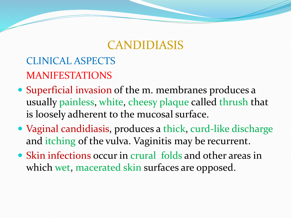## CANDIDIASIS

## CLINICAL ASPECTS MANIFESTATIONS

- Superficial invasion of the m. membranes produces a usually painless, white, cheesy plaque called thrush that is loosely adherent to the mucosal surface.
- Vaginal candidiasis, produces a thick, curd-like discharge and itching of the vulva. Vaginitis may be recurrent.
- Skin infections occur in crural folds and other areas in which wet, macerated skin surfaces are opposed.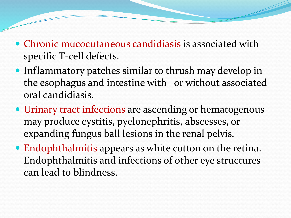- Chronic mucocutaneous candidiasis is associated with specific T-cell defects.
- Inflammatory patches similar to thrush may develop in the esophagus and intestine with or without associated oral candidiasis.
- Urinary tract infections are ascending or hematogenous may produce cystitis, pyelonephritis, abscesses, or expanding fungus ball lesions in the renal pelvis.
- Endophthalmitis appears as white cotton on the retina. Endophthalmitis and infections of other eye structures can lead to blindness.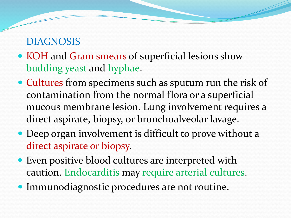#### DIAGNOSIS

- KOH and Gram smears of superficial lesions show budding yeast and hyphae.
- Cultures from specimens such as sputum run the risk of contamination from the normal flora or a superficial mucous membrane lesion. Lung involvement requires a direct aspirate, biopsy, or bronchoalveolar lavage.
- Deep organ involvement is difficult to prove without a direct aspirate or biopsy.
- Even positive blood cultures are interpreted with caution. Endocarditis may require arterial cultures.
- Immunodiagnostic procedures are not routine.